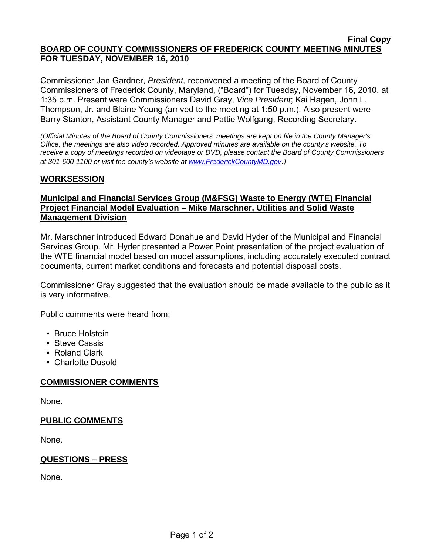#### **Final Copy BOARD OF COUNTY COMMISSIONERS OF FREDERICK COUNTY MEETING MINUTES FOR TUESDAY, NOVEMBER 16, 2010**

Commissioner Jan Gardner, *President,* reconvened a meeting of the Board of County Commissioners of Frederick County, Maryland, ("Board") for Tuesday, November 16, 2010, at 1:35 p.m. Present were Commissioners David Gray, *Vice President*; Kai Hagen, John L. Thompson, Jr. and Blaine Young (arrived to the meeting at 1:50 p.m.). Also present were Barry Stanton, Assistant County Manager and Pattie Wolfgang, Recording Secretary.

*(Official Minutes of the Board of County Commissioners' meetings are kept on file in the County Manager's Office; the meetings are also video recorded. Approved minutes are available on the county's website. To receive a copy of meetings recorded on videotape or DVD, please contact the Board of County Commissioners at 301-600-1100 or visit the county's website at [www.FrederickCountyMD.gov](http://www.frederickcountymd.gov/)*.*)* 

### **WORKSESSION**

# **Municipal and Financial Services Group (M&FSG) Waste to Energy (WTE) Financial Project Financial Model Evaluation – Mike Marschner, Utilities and Solid Waste Management Division**

Mr. Marschner introduced Edward Donahue and David Hyder of the Municipal and Financial Services Group. Mr. Hyder presented a Power Point presentation of the project evaluation of the WTE financial model based on model assumptions, including accurately executed contract documents, current market conditions and forecasts and potential disposal costs.

Commissioner Gray suggested that the evaluation should be made available to the public as it is very informative.

Public comments were heard from:

- **Bruce Holstein**
- **Steve Cassis**
- Roland Clark
- Charlotte Dusold

### **COMMISSIONER COMMENTS**

None.

### **PUBLIC COMMENTS**

None.

### **QUESTIONS – PRESS**

None.